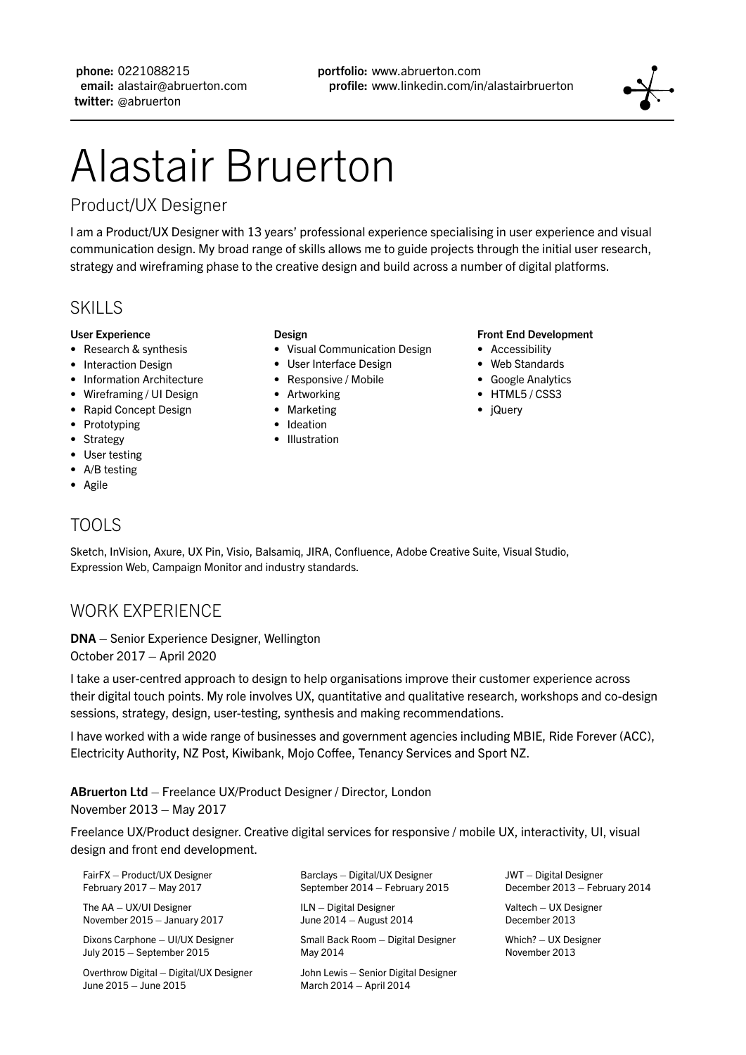phone: 0221088215 email: alastair@abruerton.com twitter: @abruerton

# Alastair Bruerton

# Product/UX Designer

I am a Product/UX Designer with 13 years' professional experience specialising in user experience and visual communication design. My broad range of skills allows me to guide projects through the initial user research, strategy and wireframing phase to the creative design and build across a number of digital platforms.

# **SKILLS**

#### User Experience

- Research & synthesis
- Interaction Design
- Information Architecture
- Wireframing / UI Design
- Rapid Concept Design
- Prototyping
- Strategy
- User testing
- A/B testing
- Agile

#### Design

- Visual Communication Design
- User Interface Design
- Responsive / Mobile
- Artworking
- Marketing
- Ideation
- Illustration

#### Front End Development

- Accessibility
- Web Standards
- Google Analytics
- HTML5/CSS3
- jQuery

# TOOLS

Sketch, InVision, Axure, UX Pin, Visio, Balsamiq, JIRA, Confluence, Adobe Creative Suite, Visual Studio, Expression Web, Campaign Monitor and industry standards.

# WORK EXPERIENCE

DNA – Senior Experience Designer, Wellington October 2017 – April 2020

I take a user-centred approach to design to help organisations improve their customer experience across their digital touch points. My role involves UX, quantitative and qualitative research, workshops and co-design sessions, strategy, design, user-testing, synthesis and making recommendations.

I have worked with a wide range of businesses and government agencies including MBIE, Ride Forever (ACC), Electricity Authority, NZ Post, Kiwibank, Mojo Coffee, Tenancy Services and Sport NZ.

# ABruerton Ltd – Freelance UX/Product Designer / Director, London

#### November 2013 – May 2017

Freelance UX/Product designer. Creative digital services for responsive / mobile UX, interactivity, UI, visual design and front end development.

| FairFX - Product/UX Designer                                     | Barclays - Digital/UX Designer                                  | <b>JWT</b> - Digital Designer |
|------------------------------------------------------------------|-----------------------------------------------------------------|-------------------------------|
| February 2017 - May 2017                                         | September 2014 - February 2015                                  | December 2013 - February 2014 |
| The $AA - UX/UI$ Designer                                        | $ILN - Digital Designer$                                        | Valtech - UX Designer         |
| November 2015 - January 2017                                     | June 2014 - August 2014                                         | December 2013                 |
| Dixons Carphone - UI/UX Designer                                 | Small Back Room - Digital Designer                              | Which? - UX Designer          |
| July 2015 - September 2015                                       | May 2014                                                        | November 2013                 |
| Overthrow Digital - Digital/UX Designer<br>June 2015 - June 2015 | John Lewis - Senior Digital Designer<br>March 2014 - April 2014 |                               |